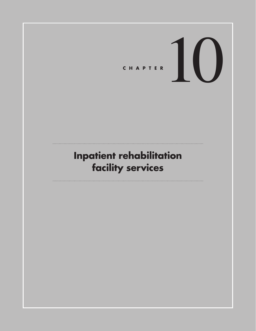# **C ha pte r** 10

# **Inpatient rehabilitation facility services**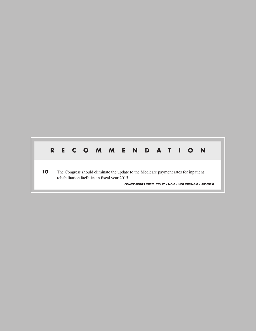#### **R E C O M M EN D A T I ON**

**10** The Congress should eliminate the update to the Medicare payment rates for inpatient rehabilitation facilities in fiscal year 2015.

**COMMISSIONER VOTES: YES 17 • NO 0 • NOT VOTING 0 • ABSENT 0**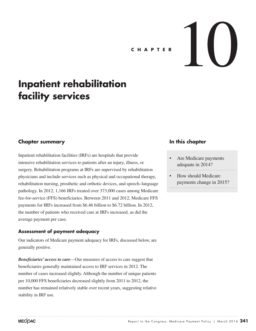# CHAPTER

# **Inpatient rehabilitation facility services**

#### **Chapter summary**

Inpatient rehabilitation facilities (IRFs) are hospitals that provide intensive rehabilitation services to patients after an injury, illness, or surgery. Rehabilitation programs at IRFs are supervised by rehabilitation physicians and include services such as physical and occupational therapy, rehabilitation nursing, prosthetic and orthotic devices, and speech–language pathology. In 2012, 1,166 IRFs treated over 373,000 cases among Medicare fee-for-service (FFS) beneficiaries. Between 2011 and 2012, Medicare FFS payments for IRFs increased from \$6.46 billion to \$6.72 billion. In 2012, the number of patients who received care at IRFs increased, as did the average payment per case.

#### **Assessment of payment adequacy**

Our indicators of Medicare payment adequacy for IRFs, discussed below, are generally positive.

*Beneficiaries' access to care*—Our measures of access to care suggest that beneficiaries generally maintained access to IRF services in 2012. The number of cases increased slightly. Although the number of unique patients per 10,000 FFS beneficiaries decreased slightly from 2011 to 2012, the number has remained relatively stable over recent years, suggesting relative stability in IRF use.

#### **In this chapter**

- Are Medicare payments adequate in 2014?
- How should Medicare payments change in 2015?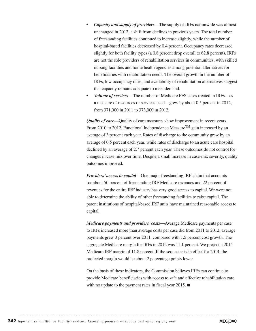- *• Capacity and supply of providers*—The supply of IRFs nationwide was almost unchanged in 2012, a shift from declines in previous years. The total number of freestanding facilities continued to increase slightly, while the number of hospital-based facilities decreased by 0.4 percent. Occupancy rates decreased slightly for both facility types (a 0.8 percent drop overall to 62.8 percent). IRFs are not the sole providers of rehabilitation services in communities, with skilled nursing facilities and home health agencies among potential alternatives for beneficiaries with rehabilitation needs. The overall growth in the number of IRFs, low occupancy rates, and availability of rehabilitation alternatives suggest that capacity remains adequate to meet demand.
- *• Volume of services*—The number of Medicare FFS cases treated in IRFs—as a measure of resources or services used—grew by about 0.5 percent in 2012, from 371,000 in 2011 to 373,000 in 2012.

*Quality of care—*Quality of care measures show improvement in recent years. From 2010 to 2012, Functional Independence Measure<sup>TM</sup> gain increased by an average of 3 percent each year. Rates of discharge to the community grew by an average of 0.5 percent each year, while rates of discharge to an acute care hospital declined by an average of 2.7 percent each year. These outcomes do not control for changes in case mix over time. Despite a small increase in case-mix severity, quality outcomes improved.

*Providers' access to capital—*One major freestanding IRF chain that accounts for about 50 percent of freestanding IRF Medicare revenues and 22 percent of revenues for the entire IRF industry has very good access to capital. We were not able to determine the ability of other freestanding facilities to raise capital. The parent institutions of hospital-based IRF units have maintained reasonable access to capital.

*Medicare payments and providers' costs—*Average Medicare payments per case to IRFs increased more than average costs per case did from 2011 to 2012; average payments grew 3 percent over 2011, compared with 1.5 percent cost growth. The aggregate Medicare margin for IRFs in 2012 was 11.1 percent. We project a 2014 Medicare IRF margin of 11.8 percent. If the sequester is in effect for 2014, the projected margin would be about 2 percentage points lower.

On the basis of these indicators, the Commission believes IRFs can continue to provide Medicare beneficiaries with access to safe and effective rehabilitation care with no update to the payment rates in fiscal year 2015. ■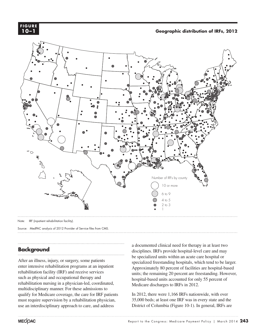

**Geographic distribution of IRFs, 2012 Geographic distribution of IRFs, 2009 FIGURE**



Note: IRF (inpatient rehabilitation facility).

Source: MedPAC analysis of 2012 Provider of Service files from CMS.

#### **Background**

After an illness, injury, or surgery, some patients enter intensive rehabilitation programs at an inpatient rehabilitation facility (IRF) and receive services such as physical and occupational therapy and rehabilitation nursing in a physician-led, coordinated, multidisciplinary manner. For these admissions to qualify for Medicare coverage, the care for IRF patients must require supervision by a rehabilitation physician, use an interdisciplinary approach to care, and address

a documented clinical need for therapy in at least two disciplines. IRFs provide hospital-level care and may be specialized units within an acute care hospital or specialized freestanding hospitals, which tend to be larger. Approximately 80 percent of facilities are hospital-based units; the remaining 20 percent are freestanding. However, hospital-based units accounted for only 55 percent of Medicare discharges to IRFs in 2012.

In 2012, there were 1,166 IRFs nationwide, with over 35,000 beds; at least one IRF was in every state and the District of Columbia (Figure 10-1). In general, IRFs are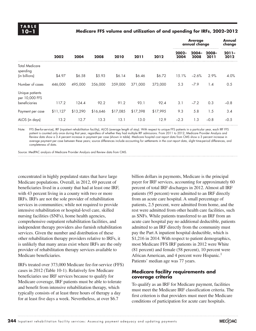#### **10–1 Medicare FFS volume and utilization of and spending for IRFs, 2002–2012**

|                                                    |          |          |          |          |          |          | <b>Average</b><br>annual change |                  |                  | Annual<br>change |
|----------------------------------------------------|----------|----------|----------|----------|----------|----------|---------------------------------|------------------|------------------|------------------|
|                                                    | 2002     | 2004     | 2008     | 2010     | 2011     | 2012     | 2002-<br>2004                   | $2004 -$<br>2008 | $2008 -$<br>2011 | $2011 -$<br>2012 |
| <b>Total Medicare</b><br>spending<br>(in billions) | \$4.97   | \$6.58   | \$5.93   | \$6.14   | \$6.46   | \$6.72   | 15.1%                           | $-2.6%$          | 2.9%             | 4.0%             |
| Number of cases                                    | 446,000  | 495,000  | 356,000  | 359,000  | 371.000  | 373,000  | 5.3                             | $-7.9$           | 1.4              | 0.5              |
| Unique patients<br>per 10,000 FFS<br>beneficiaries | 117.2    | 124.4    | 92.2     | 91.2     | 93.1     | 92.4     | 3.1                             | $-7.2$           | 0.3              | $-0.8$           |
| Payment per case                                   | \$11,127 | \$13,290 | \$16,646 | \$17,085 | \$17,398 | \$17,995 | 9.3                             | 5.8              | 1.5              | 3.4              |
| ALOS (in days)                                     | 13.2     | 12.7     | 13.3     | 13.1     | 13.0     | 12.9     | $-2.3$                          | 1.3              | $-0.8$           | $-0.5$           |

Note: FFS (fee-for-service), IRF (inpatient rehabilitation facility), ALOS (average length of stay). With respect to unique FFS patients in a particular year, each IRF FFS patient is counted only once during that year, regardless of whether they had multiple IRF admissions. From 2011 to 2012, Medicare Provider Analysis and Review data show a 3.4 percent increase in payment per case (shown in table). Medicare hospital cost report data from CMS show a 3 percent increase in average payment per case between these years; source differences include accounting for settlements in the cost report data, slight time-period differences, and completeness of data.

Source: MedPAC analysis of Medicare Provider Analysis and Review data from CMS.

concentrated in highly populated states that have large Medicare populations. Overall, in 2012, 69 percent of beneficiaries lived in a county that had at least one IRF, with 43 percent living in a county with two or more IRFs. IRFs are not the sole provider of rehabilitation services in communities; while not required to provide intensive rehabilitation or hospital-level care, skilled nursing facilities (SNFs), home health agencies, comprehensive outpatient rehabilitation facilities, and independent therapy providers also furnish rehabilitation services. Given the number and distribution of these other rehabilitation therapy providers relative to IRFs, it is unlikely that many areas exist where IRFs are the only provider of rehabilitation therapy services available to Medicare beneficiaries.

IRFs treated over 373,000 Medicare fee-for-service (FFS) cases in 2012 (Table 10-1). Relatively few Medicare beneficiaries use IRF services because to qualify for Medicare coverage, IRF patients must be able to tolerate and benefit from intensive rehabilitation therapy, which typically consists of at least three hours of therapy a day for at least five days a week. Nevertheless, at over \$6.7

billion dollars in payments, Medicare is the principal payer for IRF services, accounting for approximately 60 percent of total IRF discharges in 2012. Almost all IRF patients (95 percent) were admitted to an IRF directly from an acute care hospital. A small percentage of patients, 2.5 percent, were admitted from home, and the rest were admitted from other health care facilities, such as SNFs. While patients transferred to an IRF from an acute care hospital pay no additional deductible, patients admitted to an IRF directly from the community must pay the Part A inpatient hospital deductible, which is \$1,216 in 2014. With respect to patient demographics, most Medicare FFS IRF patients in 2012 were White (81 percent) and female (58 percent), 10 percent were African American, and 4 percent were Hispanic.<sup>1</sup> Patients' median age was 77 years.

#### **Medicare facility requirements and coverage criteria**

To qualify as an IRF for Medicare payment, facilities must meet the Medicare IRF classification criteria. The first criterion is that providers must meet the Medicare conditions of participation for acute care hospitals.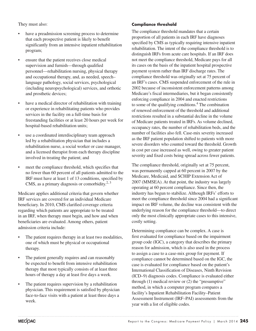They must also:

- have a preadmission screening process to determine that each prospective patient is likely to benefit significantly from an intensive inpatient rehabilitation program;
- ensure that the patient receives close medical supervision and furnish—through qualified personnel—rehabilitation nursing, physical therapy and occupational therapy, and, as needed, speech– language pathology, social services, psychological (including neuropsychological) services, and orthotic and prosthetic devices;
- have a medical director of rehabilitation with training or experience in rehabilitating patients who provides services in the facility on a full-time basis for freestanding facilities or at least 20 hours per week for hospital-based rehabilitation units;
- use a coordinated interdisciplinary team approach led by a rehabilitation physician that includes a rehabilitation nurse, a social worker or case manager, and a licensed therapist from each therapy discipline involved in treating the patient; and
- meet the compliance threshold, which specifies that no fewer than 60 percent of all patients admitted to the IRF must have at least 1 of 13 conditions, specified by CMS, as a primary diagnosis or comorbidity. $2,3$

Medicare applies additional criteria that govern whether IRF services are covered for an individual Medicare beneficiary. In 2010, CMS clarified coverage criteria regarding which patients are appropriate to be treated in an IRF, when therapy must begin, and how and when beneficiaries are evaluated. Among others, patient admission criteria include:

- The patient requires therapy in at least two modalities, one of which must be physical or occupational therapy.
- The patient generally requires and can reasonably be expected to benefit from intensive rehabilitation therapy that most typically consists of at least three hours of therapy a day at least five days a week.
- The patient requires supervision by a rehabilitation physician. This requirement is satisfied by physician face-to-face visits with a patient at least three days a week.

#### **Compliance threshold**

The compliance threshold mandates that a certain proportion of all patients in each IRF have diagnoses specified by CMS as typically requiring intensive inpatient rehabilitation. The intent of the compliance threshold is to distinguish IRFs from acute care hospitals. If an IRF does not meet the compliance threshold, Medicare pays for all its cases on the basis of the inpatient hospital prospective payment system rather than IRF discharge rates. The compliance threshold was originally set at 75 percent of an IRF's cases. CMS suspended enforcement of the rule in 2002 because of inconsistent enforcement patterns among Medicare's fiscal intermediaries, but it began consistently enforcing compliance in 2004 and enacted restrictions to some of the qualifying conditions.<sup>4</sup> The combination of renewed enforcement of the threshold and additional restrictions resulted in a substantial decline in the volume of Medicare patients treated in IRFs. As volume declined, occupancy rates, the number of rehabilitation beds, and the number of facilities also fell. Case-mix severity increased as the IRF patient population shifted to patients with more severe disorders who counted toward the threshold. Growth in cost per case increased as well, owing to greater patient severity and fixed costs being spread across fewer patients.

The compliance threshold, originally set at 75 percent, was permanently capped at 60 percent in 2007 by the Medicare, Medicaid, and SCHIP Extension Act of 2007 (MMSEA). At that point, the industry was largely operating at 60 percent compliance. Since then, the industry has begun to stabilize. Although IRFs' efforts to meet the compliance threshold since 2004 had a significant impact on IRF volume, the decline was consistent with the underlying reason for the compliance threshold—to direct only the most clinically appropriate cases to this intensive, costly setting.

Determining compliance can be complex. A case is first evaluated for compliance based on the impairment group code (IGC), a category that describes the primary reason for admission, which is also used in the process to assign a case to a case-mix group for payment. If compliance cannot be determined based on the IGC, the case is evaluated for compliance based on the patient's International Classification of Diseases, Ninth Revision (ICD–9) diagnosis codes. Compliance is evaluated either through (1) medical review or (2) the "presumptive" method, in which a computer program compares a facility's Inpatient Rehabilitation Facility–Patient Assessment Instrument (IRF–PAI) assessments from the year with a list of eligible codes.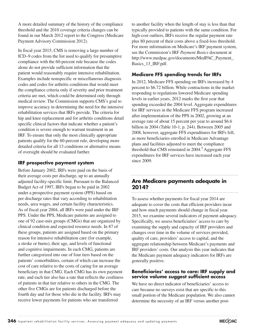A more detailed summary of the history of the compliance threshold and the 2010 coverage criteria changes can be found in our March 2012 report to the Congress (Medicare Payment Advisory Commission 2012).

In fiscal year 2015, CMS is removing a large number of ICD–9 codes from the list used to qualify for presumptive compliance with the 60-percent rule because the codes alone do not provide sufficient information that the patient would reasonably require intensive rehabilitation. Examples include nonspecific or miscellaneous diagnosis codes and codes for arthritis conditions that would meet the compliance criteria only if severity and prior treatment criteria are met, which could be determined only through medical review. The Commission supports CMS's goal to improve accuracy in determining the need for the intensive rehabilitation services that IRFs provide. The criteria for hip and knee replacement and for arthritis conditions detail specific clinical factors that indicate whether a patient's condition is severe enough to warrant treatment in an IRF. To ensure that only the most clinically appropriate patients qualify for the 60-percent rule, developing more detailed criteria for all 13 conditions or alternative means of oversight should be evaluated further.

#### **IRF prospective payment system**

Before January 2002, IRFs were paid on the basis of their average costs per discharge, up to an annually adjusted facility-specific limit. Pursuant to the Balanced Budget Act of 1997, IRFs began to be paid in 2002 under a prospective payment system (PPS) based on per discharge rates that vary according to rehabilitation needs, area wages, and certain facility characteristics. As of fiscal year 2004, all IRFs were paid under the IRF PPS. Under the PPS, Medicare patients are assigned to one of 92 case-mix groups (CMGs) that are organized by clinical condition and expected resource needs. In 87 of these groups, patients are assigned based on the primary reason for intensive rehabilitation care (for example, a stroke or burns), their age, and levels of functional and cognitive impairments. In each CMG, patients are further categorized into one of four tiers based on the patients' comorbidities, certain of which can increase the cost of care relative to the costs of caring for an average beneficiary in that CMG. Each CMG has its own payment rate, and each tier also has a rate that reflects the costliness of patients in that tier relative to others in the CMG. The other five CMGs are for patients discharged before the fourth day and for those who die in the facility. IRFs may receive lower payments for patients who are transferred

to another facility when the length of stay is less than that typically provided to patients with the same condition. For high-cost outliers, IRFs receive the regular payment rate plus 80 percent of their costs above a fixed-loss threshold. For more information on Medicare's IRF payment system, see the Commission's IRF *Payment Basics* document at http://www.medpac.gov/documents/MedPAC\_Payment\_ Basics\_13\_IRF.pdf.

#### **Medicare FFS spending trends for IRFs**

In 2012, Medicare FFS spending on IRFs increased by 4 percent to \$6.72 billion. While contractions in the market responding to regulations lowered Medicare spending levels in earlier years, 2012 marks the first year that spending exceeded the 2004 level. Aggregate expenditures for IRF services in the Medicare FFS program increased after implementation of the PPS in 2002, growing at an average rate of about 15 percent per year to around \$6.6 billion in 2004 (Table 10-1, p. 244). Between 2005 and 2008, however, aggregate FFS expenditures for IRFs fell, as more beneficiaries enrolled in Medicare Advantage plans and facilities adjusted to meet the compliance threshold that CMS reinstated in 2004.<sup>5</sup> Aggregate FFS expenditures for IRF services have increased each year since 2009.

#### **Are Medicare payments adequate in 2014?** . . . . . . . . . . . . . . .

To assess whether payments for fiscal year 2014 are adequate to cover the costs that efficient providers incur and how much payments should change in fiscal year 2015, we examine several indicators of payment adequacy. Specifically, we assess beneficiaries' access to care by examining the supply and capacity of IRF providers and changes over time in the volume of services provided, quality of care, providers' access to capital, and the aggregate relationship between Medicare's payments and IRF providers' costs. Our analysis this year indicates that the Medicare payment adequacy indicators for IRFs are generally positive.

#### **Beneficiaries' access to care: IRF supply and service volume suggest sufficient access**

We have no direct indicator of beneficiaries' access to care because no surveys exist that are specific to this small portion of the Medicare population. We also cannot determine the necessity of an IRF versus another post-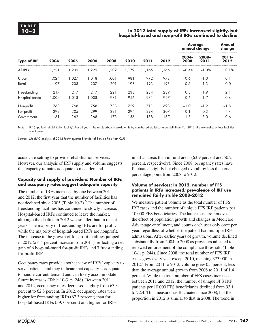#### **10–2 In 2012 total supply of IRFs increased slightly, but hospital-based and nonprofit IRFs continued to decline**

|                            |       |        |        |      |       |       |                  | <b>Average</b><br>annual change |                  | Annual<br>change |
|----------------------------|-------|--------|--------|------|-------|-------|------------------|---------------------------------|------------------|------------------|
| <b>Type of IRF</b><br>2004 | 2005  | 2006   | 2008   | 2010 | 2011  | 2012  | $2004 -$<br>2008 | $2008 -$<br>2011                | $2011 -$<br>2012 |                  |
| All IRFs                   | 1,221 | 1,235  | 225, ا | ,202 | 1.179 | 1,165 | 1,166            | $-0.4%$                         | $-1.0%$          | 0.1%             |
| Urban                      | 1,024 | 027, ا | 1.018  | ,001 | 981   | 972   | 973              | $-0.6$                          | $-1.0$           | 0.1              |
| Rural                      | 197   | 208    | 207    | 201  | 198   | 193   | 193              | 0.5                             | $-1.3$           | 0.0              |
| Freestanding               | 217   | 217    | 217    | 221  | 233   | 234   | 239              | 0.5                             | 1.9              | 2.1              |
| Hospital based             | 1,004 | 1,018  | 008, ا | 981  | 946   | 931   | 927              | $-0.6$                          | $-1.7$           | $-0.4$           |
| Nonprofit                  | 768   | 768    | 758    | 738  | 729   | 711   | 698              | $-1.0$                          | $-1.2$           | $-1.8$           |
| For profit                 | 292   | 305    | 299    | 291  | 294   | 294   | 307              | $-0.1$                          | 0.3              | 4.4              |
| Government                 | 161   | 162    | 168    | 173  | 156   | 158   | 157              | 1.8                             | $-3.0$           | $-0.6$           |

Note: IRF (inpatient rehabilitation facility). For all years, the rural/urban breakdown is by core-based statistical area definition. For 2012, the ownership of four facilities is unknown.

Source: MedPAC analysis of 2012 fourth quarter Provider of Service files from CMS.

acute care setting to provide rehabilitation services. However, our analysis of IRF supply and volume suggests that capacity remains adequate to meet demand.

#### **Capacity and supply of providers: Number of IRFs and occupancy rates suggest adequate capacity**

The number of IRFs increased by one between 2011 and 2012, the first year that the number of facilities has not declined since  $2005$  (Table 10-2).<sup>6</sup> The number of freestanding facilities has continued to slowly increase. Hospital-based IRFs continued to leave the market, although the decline in 2012 was smaller than in recent years. The majority of freestanding IRFs are for profit, while the majority of hospital-based IRFs are nonprofit. The increase in the growth of for-profit facilities jumped in 2012 (a 4.4 percent increase from 2011), reflecting a net gain of 6 hospital-based for-profit IRFs and 7 freestanding for-profit IRFs.

Occupancy rates provide another view of IRFs' capacity to serve patients, and they indicate that capacity is adequate to handle current demand and can likely accommodate future increases (Table 10-3, p. 248). Between 2011 and 2012, occupancy rates decreased slightly from 63.3 percent to 62.8 percent. In 2012, occupancy rates were higher for freestanding IRFs (67.3 percent) than for hospital-based IRFs (59.7 percent) and higher for IRFs

in urban areas than in rural areas (63.9 percent and 50.2 percent, respectively). Since 2008, occupancy rates have fluctuated slightly but changed overall by less than one percentage point from 2008 to 2012.

#### **Volume of services: In 2012, number of FFS patients in IRFs increased; prevalence of IRF use remained fairly stable 2008–2012**

We measure patient volume as the total number of FFS IRF cases and the number of unique FFS IRF patients per 10,000 FFS beneficiaries. The latter measure removes the effect of population growth and changes in Medicare Advantage enrollment, and counts each user only once per year, regardless of whether the patient had multiple IRF admissions. After earlier years of growth, volume declined substantially from 2004 to 2008 as providers adjusted to renewed enforcement of the compliance threshold (Table 10-1, p. 244). Since 2008, the total number of FFS IRF cases grew every year except 2010, reaching 373,000 in  $2012.<sup>7</sup>$  From 2011 to 2012, volume grew 0.5 percent, less than the average annual growth from 2008 to 2011 of 1.4 percent. While the total number of FFS cases increased between 2011 and 2012, the number of unique FFS IRF patients per 10,000 FFS beneficiaries declined from 93.1 to 92.4. This measure has fluctuated since 2008, but the proportion in 2012 is similar to that in 2008. The trend in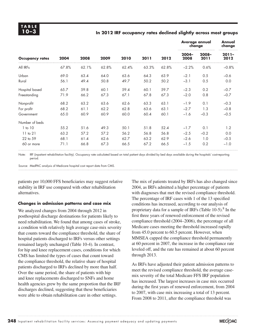#### **10–3 In 2012 IRF occupancy rates declined slightly across most groups**

|                        |       |       |       | 2010  |       |       | <b>Average annual</b><br>change |                  | Annual<br>change |
|------------------------|-------|-------|-------|-------|-------|-------|---------------------------------|------------------|------------------|
| <b>Occupancy rates</b> | 2004  | 2008  | 2009  |       | 2011  | 2012  | $2004 -$<br>2008                | $2008 -$<br>2011 | $2011 -$<br>2012 |
| All IRFs               | 67.8% | 62.1% | 62.8% | 62.4% | 63.3% | 62.8% | $-2.2%$                         | 0.6%             | $-0.8%$          |
| Urban                  | 69.0  | 63.4  | 64.0  | 63.6  | 64.3  | 63.9  | $-2.1$                          | 0.5              | $-0.6$           |
| Rural                  | 56.1  | 49.4  | 50.8  | 49.7  | 50.2  | 50.2  | $-3.1$                          | 0.5              | 0.0              |
| Hospital based         | 65.7  | 59.8  | 60.1  | 59.4  | 60.1  | 59.7  | $-2.3$                          | 0.2              | $-0.7$           |
| Freestanding           | 71.9  | 66.2  | 67.3  | 67.1  | 67.8  | 67.3  | $-2.0$                          | 0.8              | $-0.7$           |
| Nonprofit              | 68.2  | 63.2  | 63.6  | 62.6  | 63.3  | 63.1  | $-1.9$                          | 0.1              | $-0.3$           |
| For profit             | 68.2  | 61.1  | 62.2  | 62.8  | 63.6  | 63.1  | $-2.7$                          | 1.3              | $-0.8$           |
| Government             | 65.0  | 60.9  | 60.9  | 60.0  | 60.4  | 60.1  | $-1.6$                          | $-0.3$           | $-0.5$           |
| Number of beds         |       |       |       |       |       |       |                                 |                  |                  |
| 1 to 10                | 55.2  | 51.6  | 49.3  | 50.1  | 51.8  | 52.4  | $-1.7$                          | 0.1              | 1.2              |
| $11$ to $21$           | 63.2  | 57.2  | 57.2  | 56.2  | 56.8  | 56.8  | $-2.5$                          | $-0.2$           | 0.0              |
| 22 to 59               | 68.1  | 61.4  | 62.6  | 62.7  | 63.2  | 62.9  | $-2.6$                          | 1.0              | $-0.5$           |
| 60 or more             | 71.1  | 66.8  | 67.3  | 66.5  | 67.2  | 66.5  | $-1.5$                          | 0.2              | $-1.0$           |

Note: IRF (inpatient rehabilitation facility). Occupancy rate calculated based on total patient days divided by bed days available during the hospitals' cost-reporting period.

Source: MedPAC analysis of Medicare hospital cost report data from CMS.

patients per 10,000 FFS beneficiaries may suggest relative stability in IRF use compared with other rehabilitation alternatives.

#### **Changes in admission patterns and case mix**

We analyzed changes from 2004 through 2012 in posthospital discharge destinations for patients likely to need rehabilitation. We found that among cases of stroke, a condition with relatively high average case-mix severity that counts toward the compliance threshold, the share of hospital patients discharged to IRFs versus other settings remained largely unchanged (Table 10-4). In contrast, for hip and knee replacement cases, conditions for which CMS has limited the types of cases that count toward the compliance threshold, the relative share of hospital patients discharged to IRFs declined by more than half. Over the same period, the share of patients with hip and knee replacements discharged to SNFs and home health agencies grew by the same proportion that the IRF discharges declined, suggesting that these beneficiaries were able to obtain rehabilitation care in other settings.

The mix of patients treated by IRFs has also changed since 2004, as IRFs admitted a higher percentage of patients with diagnoses that met the revised compliance threshold. The percentage of IRF cases with 1 of the 13 specified conditions has increased, according to our analysis of proprietary data for a sample of IRFs (Table  $10-5$ ).<sup>8</sup> In the first three years of renewed enforcement of the revised compliance threshold (2004–2006), the percentage of all Medicare cases meeting the threshold increased rapidly from 45.0 percent to 60.5 percent. However, when MMSEA capped the compliance threshold permanently at 60 percent in 2007, the increase in the compliance rate leveled off, and the rate has remained at about 60 percent through 2013.

As IRFs have adjusted their patient admission patterns to meet the revised compliance threshold, the average casemix severity of the total Medicare FFS IRF population has increased. The largest increases in case mix occurred during the first years of renewed enforcement, from 2004 to 2007, with case mix increasing a total of 13 percent. From 2008 to 2011, after the compliance threshold was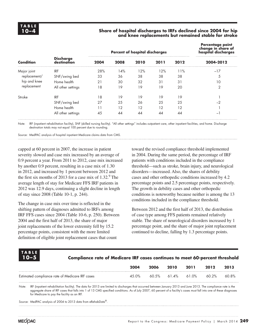#### **10–4 Share of hospital discharges to IRFs declined since 2004 for hip and knee replacements but remained stable for stroke**

|                  |                                 |      | <b>Percent of hospital discharges</b> | Percentage point<br>change in share of<br>hospital discharges |      |      |                          |
|------------------|---------------------------------|------|---------------------------------------|---------------------------------------------------------------|------|------|--------------------------|
| <b>Condition</b> | <b>Discharge</b><br>destination | 2004 | 2008                                  | 2010                                                          | 2011 | 2012 | 2004-2012                |
| Major joint      | <b>IRF</b>                      | 28%  | 14%                                   | 12%                                                           | 12%  | 11%  | $-17$                    |
| replacement/     | SNF/swing bed                   | 33   | 36                                    | 38                                                            | 38   | 38   | 5                        |
| hip and knee     | Home health                     | 21   | 30                                    | 32                                                            | 31   | 31   | 10                       |
| replacement      | All other settings              | 18   | 19                                    | 19                                                            | 19   | 20   | 2                        |
| Stroke           | <b>IRF</b>                      | 8    | 19                                    | 19                                                            | 19   | 19   |                          |
|                  | SNF/swing bed                   | 27   | 25                                    | 26                                                            | 25   | 25   | -2                       |
|                  | Home health                     |      | 12                                    | 12                                                            | 12   | 12   |                          |
|                  | All other settings              | 45   | 44                                    | 44                                                            | 44   | 44   | $\overline{\phantom{m}}$ |

Note: IRF (inpatient rehabilitation facility), SNF (skilled nursing facility). "All other settings" includes outpatient care, other inpatient facilities, and home. Discharge destination totals may not equal 100 percent due to rounding.

Source: MedPAC analysis of hospital inpatient Medicare claims data from CMS.

capped at 60 percent in 2007, the increase in patient severity slowed and case mix increased by an average of 0.9 percent a year. From 2011 to 2012, case mix increased by another 0.9 percent, resulting in a case mix of 1.30 in 2012, and increased by 1 percent between 2012 and the first six months of 2013 for a case mix of  $1.32<sup>9</sup>$  The average length of stay for Medicare FFS IRF patients in 2012 was 12.9 days, continuing a slight decline in length of stay since 2008 (Table 10-1, p. 244).

The change in case mix over time is reflected in the shifting pattern of diagnoses admitted to IRFs among IRF FFS cases since 2004 (Table 10-6, p. 250). Between 2004 and the first half of 2013, the share of major joint replacements of the lower extremity fell by 15.2 percentage points, consistent with the more limited definition of eligible joint replacement cases that count

toward the revised compliance threshold implemented in 2004. During the same period, the percentage of IRF patients with conditions included in the compliance threshold—such as stroke, brain injury, and neurological disorders—increased. Also, the shares of debility cases and other orthopedic conditions increased by 4.2 percentage points and 2.5 percentage points, respectively. The growth in debility cases and other orthopedic conditions is noteworthy because neither is among the 13 conditions included in the compliance threshold.

Between 2012 and the first half of 2013, the distribution of case type among FFS patients remained relatively stable. The share of neurological disorders increased by 1 percentage point, and the share of major joint replacement continued to decline, falling by 1.3 percentage points.

## **T ABL E**

#### **10–5 Compliance rate of Medicare IRF cases continues to meet 60-percent threshold**

|                                                 | 2004 | 2006 | 2010 | 2011                    | 2012  | 2013    |
|-------------------------------------------------|------|------|------|-------------------------|-------|---------|
| Estimated compliance rate of Medicare IRF cases |      |      |      | 45.0% 60.5% 61.4% 61.0% | 60.2% | - 60.8% |
|                                                 |      |      |      |                         |       |         |

Note: IRF (inpatient rehabilitation facility). The data for 2013 are limited to discharges that occurred between January 2013 and June 2013. The compliance rate is the aggregate share of IRF cases that falls into 1 of 13 CMS specified conditions. As of July 2007, 60 percent of a facility's cases must fall into one of these diagnoses for Medicare to pay the facility as an IRF.

Source: MedPAC analysis of 2004 to 2013 data from eRehabData®.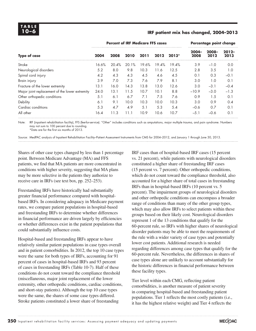#### **10–6 IRF patient mix has changed, 2004–2013**

|                                                | <b>Percent of IRF Medicare FFS cases</b> |       |       |       |       |         |                  | Percentage point change |                  |  |
|------------------------------------------------|------------------------------------------|-------|-------|-------|-------|---------|------------------|-------------------------|------------------|--|
| <b>Type of case</b>                            | 2004                                     | 2008  | 2010  | 2011  | 2012  | $2013*$ | $2004 -$<br>2008 | 2008-<br>2012           | $2012 -$<br>2013 |  |
| Stroke                                         | 16.6%                                    | 20.4% | 20.1% | 19.6% | 19.4% | 19.4%   | 3.9              | $-1.0$                  | 0.0              |  |
| Neurological disorders                         | 5.2                                      | 8.0   | 9.8   | 10.3  | 11.6  | 12.5    | 2.8              | 3.5                     | 1.0              |  |
| Spinal cord injury                             | 4.2                                      | 4.3   | 4.3   | 4.5   | 4.6   | 4.5     | 0.1              | 0.3                     | $-0.1$           |  |
| Brain injury                                   | 3.9                                      | 7.0   | 7.3   | 7.6   | 7.9   | 8.1     | 3.0              | 1.0                     | 0.1              |  |
| Fracture of the lower extremity                | 13.1                                     | 16.0  | 14.3  | 13.8  | 13.0  | 12.6    | 3.0              | $-3.1$                  | $-0.4$           |  |
| Major joint replacement of the lower extremity | 24.0                                     | 13.1  | 11.5  | 10.7  | 10.1  | 8.8     | $-10.9$          | $-3.0$                  | $-1.3$           |  |
| Other orthopedic conditions                    | 5.1                                      | 6.1   | 6.7   | 7.1   | 7.5   | 7.6     | 0.9              | 1.5                     | 0.1              |  |
| Debility                                       | 6.1                                      | 9.1   | 10.0  | 10.3  | 10.0  | 10.3    | 3.0              | 0.9                     | 0.4              |  |
| Cardiac conditions                             | 5.3                                      | 4.7   | 4.9   | 5.1   | 5.3   | 5.4     | $-0.6$           | 0.7                     | 0.1              |  |
| All other                                      | 16.4                                     | 11.3  | 11.1  | 10.9  | 10.6  | 10.7    | $-5.1$           | $-0.6$                  | 0.1              |  |

Note: IRF (inpatient rehabilitation facility), FFS (fee-for-service). "Other" includes conditions such as amputations, major multiple trauma, and pain syndrome. Numbers may not sum to 100 percent due to rounding. \*Data are for the first six months of 2013.

Source: MedPAC analysis of Inpatient Rehabilitation Facility–Patient Assessment Instruments from CMS for 2004–2012, and January 1 through June 30, 2013.

Shares of other case types changed by less than 1 percentage point. Between Medicare Advantage (MA) and FFS patients, we find that MA patients are more concentrated in conditions with higher severity, suggesting that MA plans may be more selective in the patients they authorize to receive care in IRFs (see text box, pp. 252–253).

Freestanding IRFs have historically had substantially greater financial performance compared with hospitalbased IRFs. In considering adequacy in Medicare payment rates, we compare patient populations in hospital-based and freestanding IRFs to determine whether differences in financial performance are driven largely by efficiencies or whether differences exist in the patient populations that could substantially influence costs.

Hospital-based and freestanding IRFs appear to have relatively similar patient populations in case types overall and in patient comorbidities. In 2012, the top 10 case types were the same for both types of IRFs, accounting for 91 percent of cases in hospital-based IRFs and 93 percent of cases in freestanding IRFs (Table 10-7). Half of these conditions do not count toward the compliance threshold (miscellaneous, major joint replacement of the lower extremity, other orthopedic conditions, cardiac conditions, and short-stay patients). Although the top 10 case types were the same, the shares of some case types differed. Stroke patients constituted a lower share of freestanding

IRF cases than of hospital-based IRF cases (15 percent vs. 21 percent), while patients with neurological disorders constituted a higher share of freestanding IRF cases (15 percent vs. 7 percent). Other orthopedic conditions, which do not count toward the compliance threshold, also accounted for a higher share of total cases in freestanding IRFs than in hospital-based IRFs (10 percent vs. 5 percent). The impairment groups of neurological disorders and other orthopedic conditions can encompass a broader range of conditions than many of the other group types, which may also allow IRFs to select patients within these groups based on their likely cost. Neurological disorders represent 1 of the 13 conditions that qualify for the 60-percent rule, so IRFs with higher shares of neurological disorder patients may be able to meet the requirements of the rule with a wider variety of case types and potentially lower cost patients. Additional research is needed regarding differences among case types that qualify for the 60-percent rule. Nevertheless, the differences in shares of case types alone are unlikely to account substantially for the historic differences in financial performance between these facility types.

Tier level within each CMG, reflecting patient comorbidities, is another measure of patient severity in comparing hospital-based and freestanding patient populations. Tier 1 reflects the most costly patients (i.e., it has the highest relative weight) and Tier 4 reflects the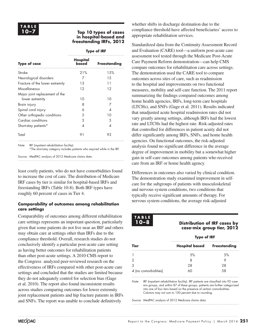#### **10–7 Top 10 types of cases in hospital-based and freestanding IRFs, 2012**

#### **Type of IRF**

| <b>Type of case</b>             | Hospital<br>based | <b>Freestanding</b> |
|---------------------------------|-------------------|---------------------|
| Stroke                          | 21%               | 15%                 |
| Neurological disorders          |                   | 15                  |
| Fracture of the lower extremity | 13                | 11                  |
| Miscellaneous                   | 12                | 12                  |
| Major joint replacement of the  |                   |                     |
| lower extremity                 | 10                | 10                  |
| Brain injury                    | 8                 |                     |
| Spinal cord injury              | 6                 |                     |
| Other orthopedic conditions     | 5                 | 10                  |
| Cardiac conditions              | 5                 | .5                  |
| Short-stay patients*            | Δ                 | ⊿                   |
| Total                           | 91                | 93                  |

Note: IRF (inpatient rehabilitation facility).

\*The short-stay category includes patients who expired while in the IRF.

Source: MedPAC analysis of 2012 Medicare claims data.

least costly patients, who do not have comorbidities found to increase the cost of care. The distribution of Medicare IRF cases by tier is similar for hospital-based IRFs and freestanding IRFs (Table 10-8). Both IRF types have roughly 60 percent of cases in Tier 4.

#### **Comparability of outcomes among rehabilitation care settings**

Comparability of outcomes among different rehabilitation care settings represents an important question, particularly given that some patients do not live near an IRF and others may obtain care at settings other than IRFs due to the compliance threshold. Overall, research studies do not conclusively identify a particular post-acute care setting as having better outcomes for rehabilitation patients than other post-acute settings. A 2010 CMS report to the Congress analyzed peer-reviewed research on the effectiveness of IRFs compared with other post-acute care settings and concluded that the studies are limited because they do not adequately control for selection bias (Gage et al. 2010). The report also found inconsistent results across studies comparing outcomes for lower extremity joint replacement patients and hip fracture patients in IRFs and SNFs. The report was unable to conclude definitively

whether shifts in discharge destination due to the compliance threshold have affected beneficiaries' access to appropriate rehabilitation services.

Standardized data from the Continuity Assessment Record and Evaluation (CARE) tool—a uniform post-acute care assessment tool tested through the Medicare Post-Acute Care Payment Reform demonstration—can help CMS compare outcomes for rehabilitation care across settings. The demonstration used the CARE tool to compare outcomes across sites of care, such as readmission to the hospital and improvements on two functional measures, mobility and self-care function. The 2011 report summarizing the findings compared outcomes among home health agencies, IRFs, long-term care hospitals (LTCHs), and SNFs (Gage et al. 2011). Results indicated that unadjusted acute hospital readmission rates did not vary greatly among settings, although IRFs had the lowest rate and LTCHs had the highest rate. Risk-adjusted rates that controlled for differences in patient acuity did not differ significantly among IRFs, SNFs, and home health agencies. On functional outcomes, the risk-adjusted analysis found no significant difference in the average degree of improvement in mobility but a somewhat higher gain in self-care outcomes among patients who received care from an IRF or home health agency.

Differences in outcomes also varied by clinical condition. The demonstration study examined improvement in selfcare for the subgroups of patients with musculoskeletal and nervous system conditions, two conditions that typically receive significant amounts of therapy. For nervous system conditions, the average risk-adjusted

#### **T ABL E**

#### **10–8 Distribution of IRF cases by case-mix group tier, 2012**

|                      | <b>Type of IRF</b>                 |     |  |  |  |  |  |  |
|----------------------|------------------------------------|-----|--|--|--|--|--|--|
| Tier                 | <b>Hospital based Freestanding</b> |     |  |  |  |  |  |  |
|                      | .5%                                | .5% |  |  |  |  |  |  |
| 2                    |                                    |     |  |  |  |  |  |  |
| 3                    | 28                                 | 28  |  |  |  |  |  |  |
| 4 (no comorbidities) |                                    |     |  |  |  |  |  |  |

Note: IRF (inpatient rehabilitation facility). IRF patients are classified into 92 casemix groups, and within 87 of these groups, patients are further categorized into one of four tiers based on the presence of certain comorbidities. Columns may not sum to 100 percent due to rounding.

Source: MedPAC analysis of 2012 Medicare claims data.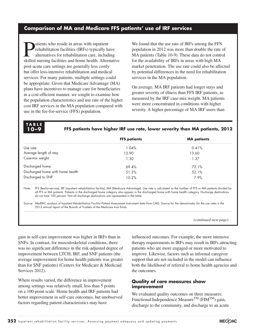#### **Comparison of MA and Medicare FFS patients' use of IRF services**

**Patients who reside in areas with inpatient<br>rehabilitation facilities (IRFs) typically halternatives for rehabilitation care, include<br>religion to facilities and home health. Alternative** rehabilitation facilities (IRFs) typically have alternatives for rehabilitation care, including skilled nursing facilities and home health. Alternative post-acute care settings are generally less costly but offer less-intensive rehabilitation and medical services. For many patients, multiple settings could be appropriate. Given that Medicare Advantage (MA) plans have incentives to manage care for beneficiaries in a cost-efficient manner, we sought to examine how the population characteristics and use rate of the higher cost IRF services in the MA population compared with use in the fee-for-service (FFS) population.

**T ABL E**

We found that the use rate of IRFs among the FFS population in 2012 was more than double the rate of MA patients (Table 10-9). These data do not control for the availability of IRFs in areas with high MA market penetration. The use rate could also be affected by potential differences in the need for rehabilitation services in the MA population.

On average, MA IRF patients had longer stays and greater severity of illness than FFS IRF patients, as measured by the IRF case-mix weight. MA patients were more concentrated in conditions with higher severity. A higher percentage of MA IRF users than

|                                                                                                                                                                                                                                            | <b>FFS patients</b>                                                                                                                                                                                                                                                                                                     | <b>MA</b> patients |
|--------------------------------------------------------------------------------------------------------------------------------------------------------------------------------------------------------------------------------------------|-------------------------------------------------------------------------------------------------------------------------------------------------------------------------------------------------------------------------------------------------------------------------------------------------------------------------|--------------------|
| Use rate                                                                                                                                                                                                                                   | 1.04%                                                                                                                                                                                                                                                                                                                   | 0.41%              |
| Average length of stay                                                                                                                                                                                                                     | 12.90                                                                                                                                                                                                                                                                                                                   | 13.60              |
| Case-mix weight                                                                                                                                                                                                                            | 1.30                                                                                                                                                                                                                                                                                                                    | 1.37               |
| Discharged home                                                                                                                                                                                                                            | 69.4%                                                                                                                                                                                                                                                                                                                   | 72.1%              |
| Discharged home with home health                                                                                                                                                                                                           | 51.3%                                                                                                                                                                                                                                                                                                                   | 52.1%              |
| Discharged to SNF                                                                                                                                                                                                                          | 10.2%                                                                                                                                                                                                                                                                                                                   | 7.9%               |
| Note:<br>do not total 100 percent. Not all discharge destinations are represented in the table.                                                                                                                                            | FFS (fee-for-service), IRF (inpatient rehabilitation facility), MA (Medicare Advantage). Use rate is calculated as the number of FFS or MA patients divided by<br>all FFS or MA patients. Patients in the discharged home category also appear in the discharged home with home health category. Discharge destinations |                    |
| Source: MedPAC analysis of Inpatient Rehabilitation Facility–Patient Assessment Instrument data from CMS. Source for the denominator for the use rates is the<br>2012 annual report of the Boards of Trustees of the Medicare trust funds. |                                                                                                                                                                                                                                                                                                                         |                    |

**10–9 FFS patients have higher IRF use rate, lower severity than MA patients, 2012**

*(continued next page)*

gain in self-care improvement was higher in IRFs than in SNFs. In contrast, for musculoskeletal conditions, there was no significant difference in the risk-adjusted degree of improvement between LTCH, IRF, and SNF patients (the average improvement for home health patients was greater than for SNF patients) (Centers for Medicare & Medicaid Services 2012).

Where results varied, the difference in improvement among settings was relatively small, less than 5 points on a 100-point scale. Home health and IRF patients had better improvement in self-care outcomes, but unobserved factors regarding patient characteristics may have

influenced outcomes. For example, the more intensive therapy requirements in IRFs may result in IRFs attracting patients who are more engaged or more motivated to improve. Likewise, factors such as informal caregiver support that are not included in the model can influence both the likelihood of referral to home health agencies and the outcomes.

#### **Quality of care measures show improvement**

We evaluated quality outcomes on three measures: Functional Independence Measure<sup>TM</sup> ( $FIM^{TM}$ ) gain, discharge to the community, and discharge to an acute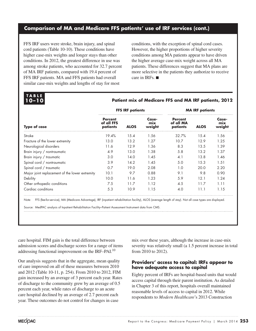#### **Comparison of MA and Medicare FFS patients' use of IRF services (cont.)**

FFS IRF users were stroke, brain injury, and spinal cord patients (Table 10-10). These conditions have higher case-mix weights and longer stays than other conditions. In 2012, the greatest difference in use was among stroke patients, who accounted for 32.7 percent of MA IRF patients, compared with 19.4 percent of FFS IRF patients. MA and FFS patients had overall similar case-mix weights and lengths of stay for most

conditions, with the exception of spinal cord cases. However, the higher proportions of higher severity conditions among MA patients appear to have driven the higher average case-mix weight across all MA patients. These differences suggest that MA plans are more selective in the patients they authorize to receive care in IRFs. ■

# **T ABL E**

#### **10–10 Patient mix of Medicare FFS and MA IRF patients, 2012**

|                                                |                                          | <b>FFS IRF patients</b> |                        | <b>MA IRF patients</b>                  |             |                        |  |
|------------------------------------------------|------------------------------------------|-------------------------|------------------------|-----------------------------------------|-------------|------------------------|--|
| <b>Type of case</b>                            | <b>Percent</b><br>of all FFS<br>patients | <b>ALOS</b>             | Case-<br>mix<br>weight | <b>Percent</b><br>of all MA<br>patients | <b>ALOS</b> | Case-<br>mix<br>weight |  |
| Stroke                                         | 19.4%                                    | 15.4                    | 1.56                   | 32.7%                                   | 15.4        | 1.56                   |  |
| Fracture of the lower extremity                | 13.0                                     | 13.2                    | 1.27                   | 10.7                                    | 12.9        | 1.25                   |  |
| Neurological disorders                         | 11.6                                     | 12.9                    | 1.36                   | 8.3                                     | 13.5        | 1.39                   |  |
| Brain injury / nontraumatic                    | 4.9                                      | 13.0                    | 1.38                   | 5.8                                     | 13.2        | 1.37                   |  |
| Brain injury / traumatic                       | 3.0                                      | 14.0                    | 1.45                   | 4.1                                     | 13.8        | 1.46                   |  |
| Spinal cord / nontraumatic                     | 3.9                                      | 14.2                    | 1.45                   | 5.0                                     | 15.3        | 1.51                   |  |
| Spinal cord / traumatic                        | 0.7                                      | 19.0                    | 2.08                   | 1.0                                     | 20.0        | 2.20                   |  |
| Major joint replacement of the lower extremity | 10.1                                     | 9.7                     | 0.88                   | 9.1                                     | 9.8         | 0.90                   |  |
| Debility                                       | 10.0                                     | 11.6                    | 1.23                   | 5.9                                     | 12.1        | 1.24                   |  |
| Other orthopedic conditions                    | 7.5                                      | 11.7                    | 1.12                   | 4.5                                     | 11.7        | 1.11                   |  |
| Cardiac conditions                             | 5.3                                      | 10.9                    | 1.15                   | 4.0                                     | 11.1        | 1.15                   |  |

Note: FFS (fee-for-service), MA (Medicare Advantage), IRF (inpatient rehabilitation facility), ALOS (average length of stay). Not all case types are displayed.

Source: MedPAC analysis of Inpatient Rehabilitation Facility–Patient Assessment Instrument data from CMS.

care hospital. FIM gain is the total difference between admission scores and discharge scores for a range of items addressing functional improvement on the IRF–PAI.<sup>10</sup>

Our analysis suggests that in the aggregate, mean quality of care improved on all of these measures between 2010 and 2012 (Table 10-11, p. 254). From 2010 to 2012, FIM gain increased by an average of 3 percent each year. Rates of discharge to the community grew by an average of 0.5 percent each year, while rates of discharge to an acute care hospital declined by an average of 2.7 percent each year. These outcomes do not control for changes in case

mix over these years, although the increase in case-mix severity was relatively small (a 1.5 percent increase in total from 2010 to 2012).

#### **Providers' access to capital: IRFs appear to have adequate access to capital**

Eighty percent of IRFs are hospital-based units that would access capital through their parent institution. As detailed in Chapter 3 of this report, hospitals overall maintained reasonable levels of access to capital in 2012. While respondents to *Modern Healthcare*'s 2013 Construction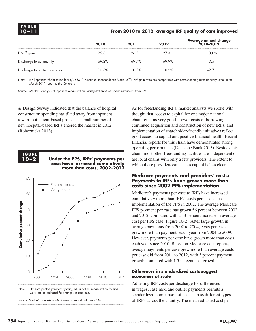#### **10–11 From 2010 to 2012, average IRF quality of care improved**

|                                  | 2010  | 2011  | 2012  | Average annual change<br>2010-2012 |
|----------------------------------|-------|-------|-------|------------------------------------|
| $FIM^{TM}$ gain                  | 25.8  | 26.5  | 27.3  | 3.0%                               |
| Discharge to community           | 69.2% | 69.7% | 69.9% | 0.5                                |
| Discharge to acute care hospital | 10.8% | 10.5% | 10.2% | $-2.7$                             |

Note: IRF (inpatient rehabilitation facility), FIM<sup>TM</sup> (Functional Independence Measure<sup>TM</sup>). FIM gain rates are comparable with corresponding rates (January–June) in the March 2011 report to the Congress.

Source: MedPAC analysis of Inpatient Rehabilitation Facility–Patient Assessment Instruments from CMS.

& Design Survey indicated that the balance of hospital construction spending has tilted away from inpatient toward outpatient-based projects, a small number of new hospital-based IRFs entered the market in 2012 (Robeznieks 2013).



#### 10-2 Under the PPS, IRFs' payments per **case have increased cumulatively risen faster than costs, 1999–2007 more than costs, 2002–2012**



Note: PPS (prospective payment system), IRF (inpatient rehabilitation facility). Costs are not adjusted for changes in case mix.



Note: Note and Source in InDesign. In India and Source in InDesign. In India and Source in India and Source in<br>- Note and Source in India and Source in India and Source in India and Source in India and Source in India and<br>

As for freestanding IRFs, market analysts we spoke with thought that access to capital for one major national chain remains very good. Lower costs of borrowing, continued acquisition and construction of new IRFs, and implementation of shareholder-friendly initiatives reflect good access to capital and positive financial health. Recent financial reports for this chain have demonstrated strong operating performance (Deutsche Bank 2013). Besides this chain, most other freestanding facilities are independent or are local chains with only a few providers. The extent to which these providers can access capital is less clear.

#### **Medicare payments and providers' costs: Payments to IRFs have grown more than costs since 2002 PPS implementation**

Medicare's payments per case to IRFs have increased cumulatively more than IRFs' costs per case since implementation of the PPS in 2002. The average Medicare FFS payment per case has grown 56 percent between 2002 and 2012, compared with a 43 percent increase in average cost per FFS case (Figure 10-2). After large growth in average payments from 2002 to 2004, costs per case grew more than payments each year from 2004 to 2009. However, payments per case have grown more than costs each year since 2010. Based on Medicare cost reports, average payments per case grew more than average costs per case did from 2011 to 2012, with 3 percent payment growth compared with 1.5 percent cost growth.

#### **Differences in standardized costs suggest**  XX% **economies of scale**

Adjusting IRF costs per discharge for differences in wages, case mix, and outlier payments permits a standardized comparison of costs across different types of IRFs across the country. The mean adjusted cost per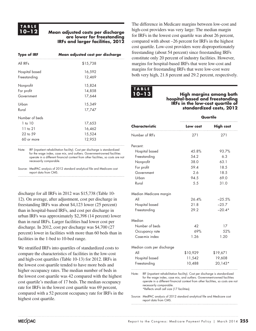### **T ABL E**

#### **10–12 Mean adjusted costs per discharge are lower for freestanding IRFs and larger facilities, 2012**

| <b>Type of IRF</b> | Mean adjusted cost per discharge                                            |
|--------------------|-----------------------------------------------------------------------------|
| All IRFs           | \$15,738                                                                    |
| Hospital based     | 16,592                                                                      |
| Freestanding       | 12,469                                                                      |
| Nonprofit          | 15,824                                                                      |
| For profit         | 14,858                                                                      |
| Government         | 17,644                                                                      |
| Urban              | 15,349                                                                      |
| Rural              | 17,747                                                                      |
| Number of beds     |                                                                             |
| $1$ to $10$        | 17,653                                                                      |
| $11$ to $21$       | 16,462                                                                      |
| 22 to 59           | 15,524                                                                      |
| 60 or more         | 12,953                                                                      |
| Note:              | IRF (inpatient rehabilitation facility). Cost per discharge is standardized |

for the wage index, case mix, and outliers. Government-owned facilities operate in a different financial context from other facilities, so costs are not necessarily comparable.

Source: MedPAC analysis of 2012 standard analytical file and Medicare cost report data from CMS.

discharge for all IRFs in 2012 was \$15,738 (Table 10- 12). On average, after adjustment, cost per discharge in freestanding IRFs was about \$4,123 lower (25 percent) than in hospital-based IRFs, and cost per discharge in urban IRFs was approximately \$2,398 (14 percent) lower than in rural IRFs. Larger facilities had lower cost per discharge. In 2012, cost per discharge was \$4,700 (27 percent) lower in facilities with more than 60 beds than in facilities in the 1-bed to 10-bed range.

We stratified IRFs into quartiles of standardized costs to compare the characteristics of facilities in the low-cost and high-cost quartiles (Table 10-13) for 2012. IRFs in the lowest cost quartile tended to have more beds and higher occupancy rates. The median number of beds in the lowest cost quartile was 42 compared with the highest cost quartile's median of 17 beds. The median occupancy rate for IRFs in the lowest cost quartile was 69 percent, compared with a 52 percent occupancy rate for IRFs in the highest cost quartile.

The difference in Medicare margins between low-cost and high-cost providers was very large: The median margin for IRFs in the lowest cost quartile was about 26 percent, compared with about –26 percent for IRFs in the highest cost quartile. Low-cost providers were disproportionately freestanding (about 54 percent) since freestanding IRFs constitute only 20 percent of industry facilities. However, margins for hospital-based IRFs that were low-cost and margins for freestanding IRFs that were low-cost were both very high, 21.8 percent and 29.2 percent, respectively.

| TABLE |  |  |
|-------|--|--|
| 10-13 |  |  |

**10–13 High margins among both hospital-based and freestanding IRFs in the low-cost quartile of standardized costs, 2012**

|                            | Quartile |                  |  |  |  |
|----------------------------|----------|------------------|--|--|--|
| Characteristic             | Low cost | <b>High cost</b> |  |  |  |
| Number of IRFs             | 271      | 271              |  |  |  |
| Percent:                   |          |                  |  |  |  |
| Hospital based             | 45.8%    | 93.7%            |  |  |  |
| Freestanding               | 54.2     | 6.3              |  |  |  |
| Nonprofit                  | 38.0     | 63.1             |  |  |  |
| For profit                 | 59.4     | 18.5             |  |  |  |
| Government                 | 2.6      | 18.5             |  |  |  |
| Urban                      | 94.5     | 69.0             |  |  |  |
| Rural                      | 5.5      | 31.0             |  |  |  |
| Median Medicare margin     |          |                  |  |  |  |
| All                        | 26.4%    | $-25.5%$         |  |  |  |
| Hospital based             | 21.8     | $-25.7$          |  |  |  |
| Freestanding               | 29.2     | $-20.4*$         |  |  |  |
| Median                     |          |                  |  |  |  |
| Number of beds             | 42       | 17               |  |  |  |
| Occupancy rate             | 69%      | 52%              |  |  |  |
| Case-mix index             | 1.26     | 1.20             |  |  |  |
| Median costs per discharge |          |                  |  |  |  |
| All                        | \$10,929 | \$19,671         |  |  |  |
| Hospital based             | 11,542   | 19,608           |  |  |  |
| Freestanding               | 10,488   | $20,143*$        |  |  |  |

Note: IRF (inpatient rehabilitation facility). Cost per discharge is standardized for the wage index, case mix, and outliers. Government-owned facilities operate in a different financial context from other facilities, so costs are not necessarily comparable. \*Reflects small cell size (17 facilities).

Source: MedPAC analysis of 2012 standard analytical file and Medicare cost report data from CMS.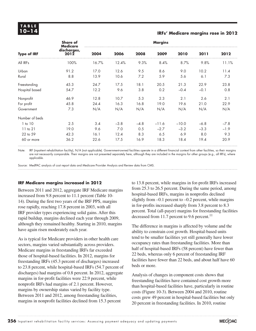# **T ABL E**

#### **10–14 IRFs' Medicare margins rose in 2012**

| <b>Type of IRF</b> | <b>Share of</b><br><b>Medicare</b><br>discharges,<br>2012 | <b>Margins</b> |        |        |         |         |        |        |
|--------------------|-----------------------------------------------------------|----------------|--------|--------|---------|---------|--------|--------|
|                    |                                                           | 2004           | 2006   | 2008   | 2009    | 2010    | 2011   | 2012   |
| All IRFs           | 100%                                                      | 16.7%          | 12.4%  | 9.3%   | 8.4%    | 8.7%    | 9.8%   | 11.1%  |
| Urban              | 91.2                                                      | 17.0           | 12.6   | 9.5    | 8.6     | 9.0     | 10.2   | 11.4   |
| Rural              | 8.8                                                       | 13.9           | 10.6   | 7.2    | 5.9     | 5.6     | 6.1    | 7.3    |
| Freestanding       | 45.3                                                      | 24.7           | 17.5   | 18.1   | 20.5    | 21.3    | 22.9   | 23.8   |
| Hospital based     | 54.7                                                      | 12.2           | 9.6    | 3.8    | 0.2     | $-0.4$  | $-0.1$ | 0.8    |
| Nonprofit          | 46.9                                                      | 12.8           | 10.7   | 5.3    | 2.3     | 2.1     | 2.6    | 2.1    |
| For profit         | 45.8                                                      | 24.4           | 16.3   | 16.8   | 19.0    | 19.6    | 21.0   | 22.9   |
| Government         | 7.3                                                       | N/A            | N/A    | N/A    | N/A     | N/A     | N/A    | N/A    |
| Number of beds     |                                                           |                |        |        |         |         |        |        |
| $1$ to $10$        | 2.5                                                       | 3.4            | $-3.8$ | $-4.8$ | $-11.6$ | $-10.0$ | $-6.8$ | $-7.8$ |
| $11$ to $21$       | 19.0                                                      | 9.6            | 7.0    | 0.5    | $-2.7$  | $-3.2$  | $-3.3$ | $-1.9$ |
| 22 to 59           | 42.3                                                      | 16.1           | 12.4   | 8.3    | 6.5     | 6.9     | 8.0    | 9.3    |
| 60 or more         | 36.2                                                      | 22.6           | 17.5   | 16.9   | 18.3    | 18.4    | 19.4   | 20.9   |

Note: IRF (inpatient rehabilitation facility), N/A (not applicable). Government-owned facilities operate in a different financial context from other facilities, so their margins are not necessarily comparable. Their margins are not presented separately here, although they are included in the margins for other groups (e.g., all IRFs), where applicable.

Source: MedPAC analysis of cost report data and Medicare Provider Analysis and Review data from CMS.

#### **IRF Medicare margins increased in 2012**

Between 2011 and 2012, aggregate IRF Medicare margins increased from 9.8 percent to 11.1 percent (Table 10- 14). During the first two years of the IRF PPS, margins rose rapidly, reaching 17.8 percent in 2003, with all IRF provider types experiencing solid gains. After this rapid buildup, margins declined each year through 2009, although they remained healthy. Starting in 2010, margins have again risen moderately each year.

As is typical for Medicare providers in other health care sectors, margins varied substantially across providers. Medicare margins in freestanding IRFs far exceeded those of hospital-based facilities. In 2012, margins for freestanding IRFs (45.3 percent of discharges) increased to 23.8 percent, while hospital-based IRFs (54.7 percent of discharges) had margins of 0.8 percent. In 2012, aggregate margins in for-profit facilities were 22.9 percent, while nonprofit IRFs had margins of 2.1 percent. However, margins by ownership status varied by facility type. Between 2011 and 2012, among freestanding facilities, margins in nonprofit facilities declined from 15.3 percent

to 13.8 percent, while margins in for-profit IRFs increased from 25.3 to 26.5 percent. During the same period, among hospital-based IRFs, margins in nonprofits declined slightly from  $-0.1$  percent to  $-0.2$  percent, while margins in for-profits increased sharply from 3.8 percent to 8.3 percent. Total (all-payer) margins for freestanding facilities decreased from 11.7 percent to 9.6 percent.<sup>11</sup>

The difference in margins is affected by volume and the ability to constrain cost growth. Hospital-based units tend to be smaller facilities yet still generally have lower occupancy rates than freestanding facilities. More than half of hospital-based IRFs (58 percent) have fewer than 22 beds, whereas only 6 percent of freestanding IRF facilities have fewer than 22 beds, and about half have 60 beds or more.

Analysis of changes in component costs shows that freestanding facilities have contained cost growth more than hospital-based facilities have, particularly in routine costs (Figure 10-3). Between 2004 and 2010, routine costs grew 49 percent in hospital-based facilities but only 20 percent in freestanding facilities. In 2010, routine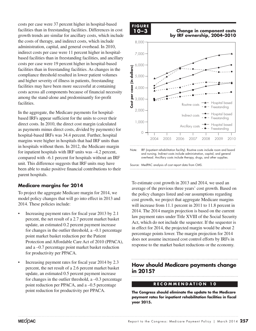costs per case were 37 percent higher in hospital-based facilities than in freestanding facilities. Differences in cost growth trends are similar for ancillary costs, which include the costs of therapy, and indirect costs, which include administration, capital, and general overhead. In 2010, indirect costs per case were 11 percent higher in hospitalbased facilities than in freestanding facilities, and ancillary costs per case were 19 percent higher in hospital-based facilities than in freestanding facilities. As changes in the compliance threshold resulted in lower patient volumes and higher severity of illness in patients, freestanding facilities may have been more successful at containing costs across all components because of financial necessity among the stand-alone and predominantly for-profit facilities.

In the aggregate, the Medicare payments for hospitalbased IRFs appear sufficient for the units to cover their direct costs. In 2010, the direct cost margin (calculated as payments minus direct costs, divided by payments) for hospital-based IRFs was 34.4 percent. Further, hospital margins were higher in hospitals that had IRF units than in hospitals without them. In 2012, the Medicare margin for inpatient hospitals with IRF units was –4.2 percent, compared with –6.1 percent for hospitals without an IRF unit. This difference suggests that IRF units may have been able to make positive financial contributions to their parent hospitals.

#### **Medicare margins for 2014**

To project the aggregate Medicare margin for 2014, we model policy changes that will go into effect in 2013 and 2014. These policies include:

- Increasing payment rates for fiscal year 2013 by 2.1 percent, the net result of a 2.7 percent market basket update, an estimated 0.2 percent payment increase for changes in the outlier threshold, a –0.1 percentage point market basket reduction per the Patient Protection and Affordable Care Act of 2010 (PPACA), and a –0.7 percentage point market basket reduction for productivity per PPACA.
- Increasing payment rates for fiscal year 2014 by 2.3 percent, the net result of a 2.6 percent market basket update, an estimated 0.5 percent payment increase for changes in the outlier threshold, a –0.3 percentage point reduction per PPACA, and a –0.5 percentage point reduction for productivity per PPACA.

#### **F i g ure**

**10-3**

**10–3 Change in component costs Volume growth has raised... FIGURE by IRF ownership, 2004–2010**



Note: IRF (inpatient rehabilitation facility). Routine costs include room and board and nursing. Indirect costs include administration, capital, and general overhead. Ancillary costs include therapy, drugs, and other supplies.

To estimate cost growth in 2013 and 2014, we used an average of the previous three years' cost growth. Based on the policy changes listed and our assumptions regarding cost growth, we project that aggregate Medicare margins will increase from 11.1 percent in 2011 to 11.8 percent in 2014. The 2014 margin projection is based on the current Figure 1. The Little is integral projection to choose the data choice in the datasheet. Act, which do not include the sequester. If the sequester is in effect for 2014, the projected margin would be about 2 percentage points lower. The margin projection for 2014  $\frac{1}{2}$  does not assume increased cost control efforts by IRFs in response to the market basket reductions or the economy.

#### **How should Medicare payments change in 2015?**

#### **R E C O M M EN D A T I ON 10**

**The Congress should eliminate the update to the Medicare payment rates for inpatient rehabilitation facilities in fiscal year 2015.**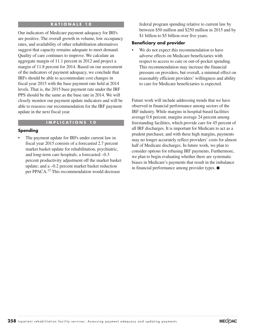#### **R A T I ON A L E 10**

Our indicators of Medicare payment adequacy for IRFs are positive. The overall growth in volume, low occupancy rates, and availability of other rehabilitation alternatives suggest that capacity remains adequate to meet demand. Quality of care continues to improve. We calculate an aggregate margin of 11.1 percent in 2012 and project a margin of 11.8 percent for 2014. Based on our assessment of the indicators of payment adequacy, we conclude that IRFs should be able to accommodate cost changes in fiscal year 2015 with the base payment rate held at 2014 levels. That is, the 2015 base payment rate under the IRF PPS should be the same as the base rate in 2014. We will closely monitor our payment update indicators and will be able to reassess our recommendation for the IRF payment update in the next fiscal year.

#### **I M P LICA T I ONS 10**

#### **Spending**

The payment update for IRFs under current law in fiscal year 2015 consists of a forecasted 2.7 percent market basket update for rehabilitation, psychiatric, and long-term care hospitals; a forecasted –0.3 percent productivity adjustment off the market basket update; and a –0.2 percent market basket reduction per PPACA.<sup>12</sup> This recommendation would decrease

federal program spending relative to current law by between \$50 million and \$250 million in 2015 and by \$1 billion to \$5 billion over five years.

#### **Beneficiary and provider**

We do not expect this recommendation to have adverse effects on Medicare beneficiaries with respect to access to care or out-of-pocket spending. This recommendation may increase the financial pressure on providers, but overall, a minimal effect on reasonably efficient providers' willingness and ability to care for Medicare beneficiaries is expected.

Future work will include addressing trends that we have observed in financial performance among sectors of the IRF industry. While margins in hospital-based facilities average 0.8 percent, margins average 24 percent among freestanding facilities, which provide care for 45 percent of all IRF discharges. It is important for Medicare to act as a prudent purchaser, and with these high margins, payments may no longer accurately reflect providers' costs for almost half of Medicare discharges. In future work, we plan to consider options for rebasing IRF payments. Furthermore, we plan to begin evaluating whether there are systematic biases in Medicare's payments that result in the imbalance in financial performance among provider types. ■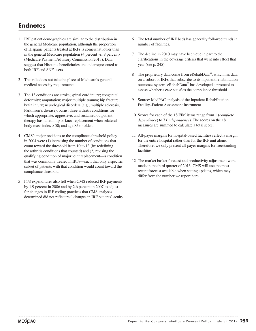#### **Endnotes**

- 1 IRF patient demographics are similar to the distribution in the general Medicare population, although the proportion of Hispanic patients treated at IRFs is somewhat lower than in the general Medicare population (4 percent vs. 8 percent) (Medicare Payment Advisory Commission 2013). Data suggest that Hispanic beneficiaries are underrepresented as both IRF and SNF users.
- 2 This rule does not take the place of Medicare's general medical necessity requirements.
- 3 The 13 conditions are stroke; spinal cord injury; congenital deformity; amputation; major multiple trauma; hip fracture; brain injury; neurological disorders (e.g., multiple sclerosis, Parkinson's disease); burns; three arthritis conditions for which appropriate, aggressive, and sustained outpatient therapy has failed; hip or knee replacement when bilateral body mass index  $\geq 50$ ; and age 85 or older.
- 4 CMS's major revisions to the compliance threshold policy in 2004 were (1) increasing the number of conditions that count toward the threshold from 10 to 13 (by redefining the arthritis conditions that counted) and (2) revising the qualifying condition of major joint replacement—a condition that was commonly treated in IRFs—such that only a specific subset of patients with that condition would count toward the compliance threshold.
- 5 FFS expenditures also fell when CMS reduced IRF payments by 1.9 percent in 2006 and by 2.6 percent in 2007 to adjust for changes in IRF coding practices that CMS analyses determined did not reflect real changes in IRF patients' acuity.
- 6 The total number of IRF beds has generally followed trends in number of facilities.
- 7 The decline in 2010 may have been due in part to the clarifications in the coverage criteria that went into effect that year (see p. 245).
- 8 The proprietary data come from eRehabData®, which has data on a subset of IRFs that subscribe to its inpatient rehabilitation outcomes system. eRehabData® has developed a protocol to assess whether a case satisfies the compliance threshold.
- 9 Source: MedPAC analysis of the Inpatient Rehabilitation Facility–Patient Assessment Instrument.
- 10 Scores for each of the 18 FIM items range from 1 (*complete dependence*) to 7 (*independence*). The scores on the 18 measures are summed to calculate a total score.
- 11 All-payer margins for hospital-based facilities reflect a margin for the entire hospital rather than for the IRF unit alone. Therefore, we only present all-payer margins for freestanding facilities.
- 12 The market basket forecast and productivity adjustment were made in the third quarter of 2013. CMS will use the most recent forecast available when setting updates, which may differ from the number we report here.